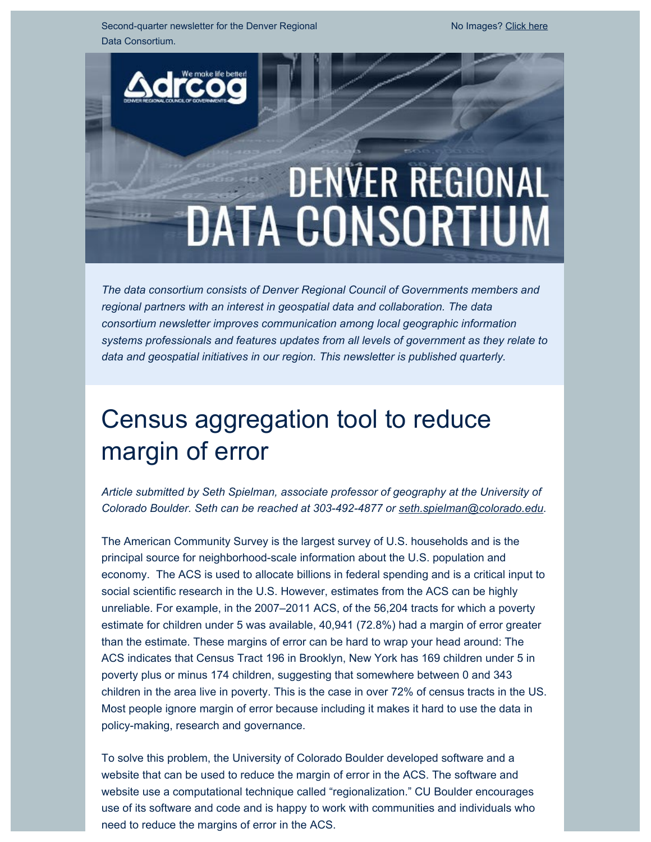Second-quarter newsletter for the Denver Regional Data Consortium.

# **DENVER REGIONAL DATA CONSORTIUM**

*The data consortium consists of Denver Regional Council of Governments members and regional partners with an interest in geospatial data and collaboration. The data consortium newsletter improves communication among local geographic information systems professionals and features updates from all levels of government as they relate to data and geospatial initiatives in our region. This newsletter is published quarterly.*

# Census aggregation tool to reduce margin of error

*Article submitted by Seth Spielman, associate professor of geography at the University of Colorado Boulder. Seth can be reached at 303-492-4877 or [seth.spielman@colorado.edu](mailto:seth.spielman@colorado.edu).*

The American Community Survey is the largest survey of U.S. households and is the principal source for neighborhood-scale information about the U.S. population and economy. The ACS is used to allocate billions in federal spending and is a critical input to social scientific research in the U.S. However, estimates from the ACS can be highly unreliable. For example, in the 2007–2011 ACS, of the 56,204 tracts for which a poverty estimate for children under 5 was available, 40,941 (72.8%) had a margin of error greater than the estimate. These margins of error can be hard to wrap your head around: The ACS indicates that Census Tract 196 in Brooklyn, New York has 169 children under 5 in poverty plus or minus 174 children, suggesting that somewhere between 0 and 343 children in the area live in poverty. This is the case in over 72% of census tracts in the US. Most people ignore margin of error because including it makes it hard to use the data in policy-making, research and governance.

To solve this problem, the University of Colorado Boulder developed software and a website that can be used to reduce the margin of error in the ACS. The software and website use a computational technique called "regionalization." CU Boulder encourages use of its software and code and is happy to work with communities and individuals who need to reduce the margins of error in the ACS.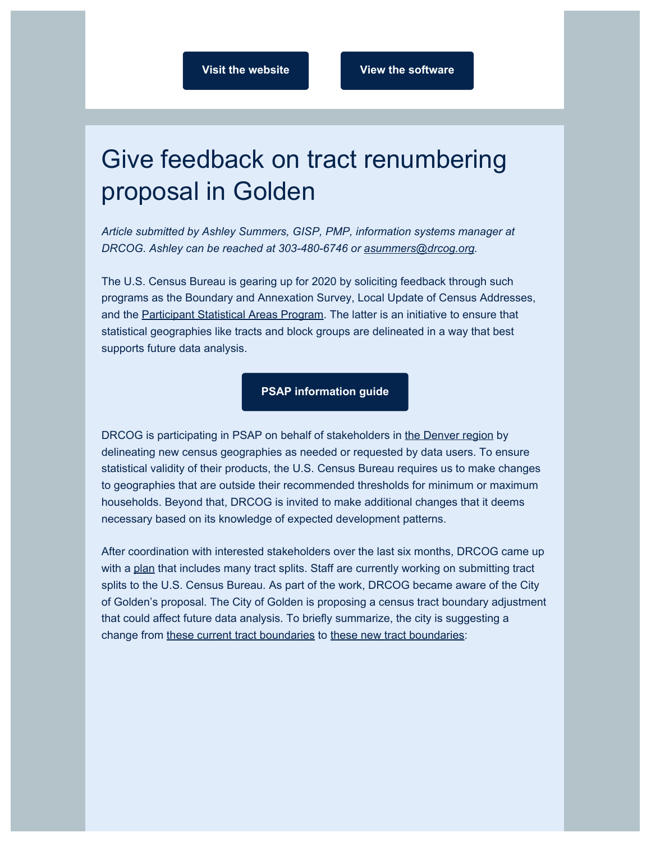### Give feedback on tract renumbering proposal in Golden

*Article submitted by Ashley Summers, GISP, PMP, information systems manager at DRCOG. Ashley can be reached at 303-480-6746 or [asummers@drcog.org](mailto:asummers@drcog.org).*

The U.S. Census Bureau is gearing up for 2020 by soliciting feedback through such programs as the Boundary and Annexation Survey, Local Update of Census Addresses, and the [Participant Statistical Areas Program](https://drcog.createsend1.com/t/d-l-pyuujud-l-t/). The latter is an initiative to ensure that statistical geographies like tracts and block groups are delineated in a way that best supports future data analysis.

#### **[PSAP information guide](https://drcog.createsend1.com/t/d-l-pyuujud-l-i/)**

DRCOG is participating in PSAP on behalf of stakeholders in [the Denver region](https://drcog.createsend1.com/t/d-l-pyuujud-l-d/) by delineating new census geographies as needed or requested by data users. To ensure statistical validity of their products, the U.S. Census Bureau requires us to make changes to geographies that are outside their recommended thresholds for minimum or maximum households. Beyond that, DRCOG is invited to make additional changes that it deems necessary based on its knowledge of expected development patterns.

After coordination with interested stakeholders over the last six months, DRCOG came up with a [plan](https://drcog.createsend1.com/t/d-l-pyuujud-l-h/) that includes many tract splits. Staff are currently working on submitting tract splits to the U.S. Census Bureau. As part of the work, DRCOG became aware of the City of Golden's proposal. The City of Golden is proposing a census tract boundary adjustment that could affect future data analysis. To briefly summarize, the city is suggesting a change from [these current tract boundaries](https://drcog.createsend1.com/t/d-l-pyuujud-l-k/) to [these new tract boundaries:](https://drcog.createsend1.com/t/d-l-pyuujud-l-u/)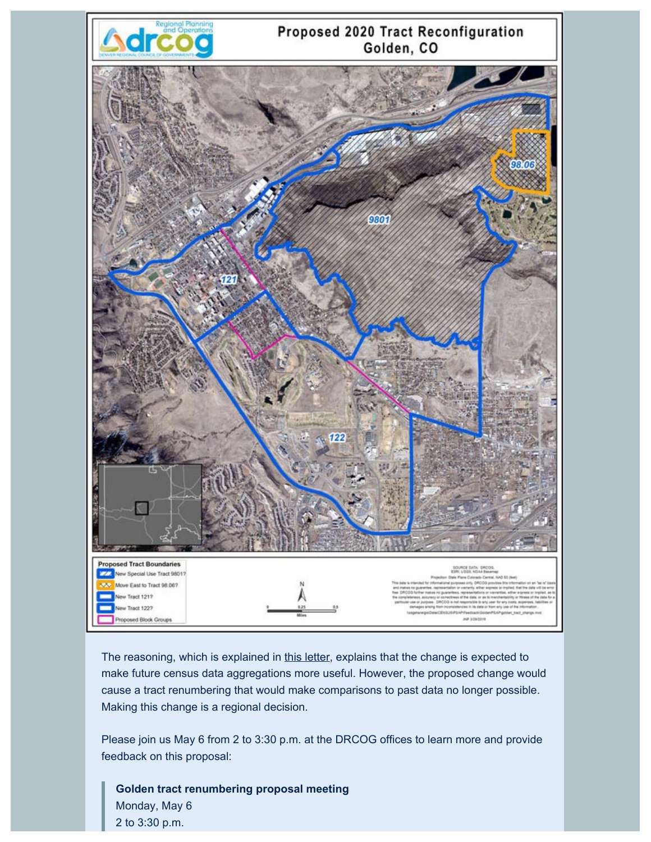

The reasoning, which is explained in [this letter](https://drcog.createsend1.com/t/d-l-pyuujud-l-m/), explains that the change is expected to make future census data aggregations more useful. However, the proposed change would cause a tract renumbering that would make comparisons to past data no longer possible. Making this change is a regional decision.

Please join us May 6 from 2 to 3:30 p.m. at the DRCOG offices to learn more and provide feedback on this proposal:

**Golden tract renumbering proposal meeting** Monday, May 6 2 to 3:30 p.m.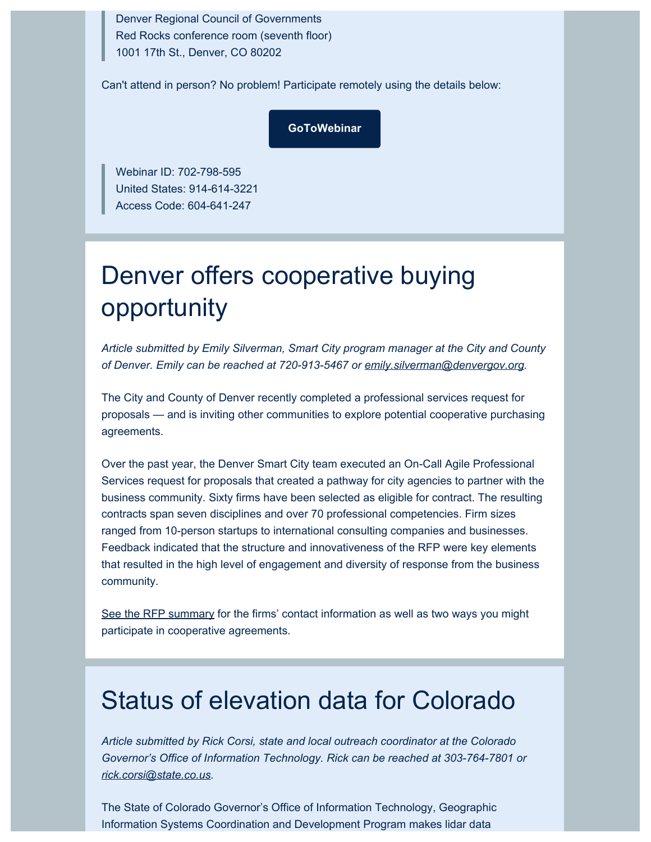Denver Regional Council of Governments Red Rocks conference room (seventh floor) 1001 17th St., Denver, CO 80202

Can't attend in person? No problem! Participate remotely using the details below:

**[GoToWebinar](https://drcog.createsend1.com/t/d-l-pyuujud-l-c/)**

Webinar ID: 702-798-595 United States: 914-614-3221 Access Code: 604-641-247

# Denver offers cooperative buying opportunity

*Article submitted by Emily Silverman, Smart City program manager at the City and County of Denver. Emily can be reached at 720-913-5467 or [emily.silverman@denvergov.org](mailto:emily.silverman@denvergov.org).*

The City and County of Denver recently completed a professional services request for proposals — and is inviting other communities to explore potential cooperative purchasing agreements.

Over the past year, the Denver Smart City team executed an On-Call Agile Professional Services request for proposals that created a pathway for city agencies to partner with the business community. Sixty firms have been selected as eligible for contract. The resulting contracts span seven disciplines and over 70 professional competencies. Firm sizes ranged from 10-person startups to international consulting companies and businesses. Feedback indicated that the structure and innovativeness of the RFP were key elements that resulted in the high level of engagement and diversity of response from the business community.

[See the RFP summary](https://drcog.createsend1.com/t/d-l-pyuujud-l-q/) for the firms' contact information as well as two ways you might participate in cooperative agreements.

### Status of elevation data for Colorado

*Article submitted by Rick Corsi, state and local outreach coordinator at the Colorado Governor's Office of Information Technology. Rick can be reached at 303-764-7801 or [rick.corsi@state.co.us.](mailto:rick.corsi@state.co.us)*

The State of Colorado Governor's Office of Information Technology, Geographic Information Systems Coordination and Development Program makes lidar data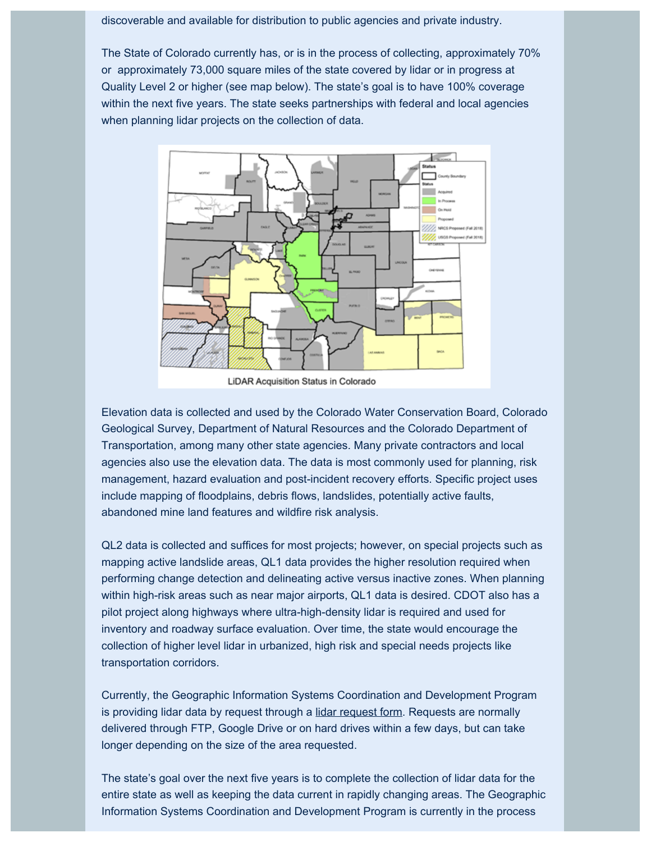discoverable and available for distribution to public agencies and private industry.

The State of Colorado currently has, or is in the process of collecting, approximately 70% or approximately 73,000 square miles of the state covered by lidar or in progress at Quality Level 2 or higher (see map below). The state's goal is to have 100% coverage within the next five years. The state seeks partnerships with federal and local agencies when planning lidar projects on the collection of data.



LiDAR Acquisition Status in Colorado

Elevation data is collected and used by the Colorado Water Conservation Board, Colorado Geological Survey, Department of Natural Resources and the Colorado Department of Transportation, among many other state agencies. Many private contractors and local agencies also use the elevation data. The data is most commonly used for planning, risk management, hazard evaluation and post-incident recovery efforts. Specific project uses include mapping of floodplains, debris flows, landslides, potentially active faults, abandoned mine land features and wildfire risk analysis.

QL2 data is collected and suffices for most projects; however, on special projects such as mapping active landslide areas, QL1 data provides the higher resolution required when performing change detection and delineating active versus inactive zones. When planning within high-risk areas such as near major airports, QL1 data is desired. CDOT also has a pilot project along highways where ultra-high-density lidar is required and used for inventory and roadway surface evaluation. Over time, the state would encourage the collection of higher level lidar in urbanized, high risk and special needs projects like transportation corridors.

Currently, the Geographic Information Systems Coordination and Development Program is providing lidar data by request through a [lidar request form](https://drcog.createsend1.com/t/d-l-pyuujud-l-a/). Requests are normally delivered through FTP, Google Drive or on hard drives within a few days, but can take longer depending on the size of the area requested.

The state's goal over the next five years is to complete the collection of lidar data for the entire state as well as keeping the data current in rapidly changing areas. The Geographic Information Systems Coordination and Development Program is currently in the process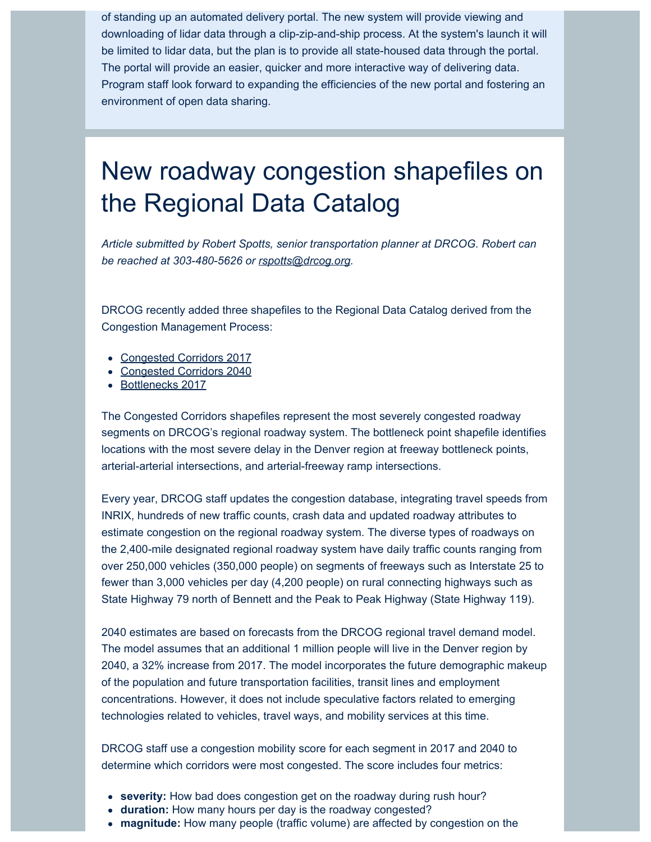of standing up an automated delivery portal. The new system will provide viewing and downloading of lidar data through a clip-zip-and-ship process. At the system's launch it will be limited to lidar data, but the plan is to provide all state-housed data through the portal. The portal will provide an easier, quicker and more interactive way of delivering data. Program staff look forward to expanding the efficiencies of the new portal and fostering an environment of open data sharing.

### New roadway congestion shapefiles on the Regional Data Catalog

*Article submitted by Robert Spotts, senior transportation planner at DRCOG. Robert can be reached at 303-480-5626 or [rspotts@drcog.org](mailto:rspotts@drcog.org).*

DRCOG recently added three shapefiles to the Regional Data Catalog derived from the Congestion Management Process:

- [Congested Corridors 2017](https://drcog.createsend1.com/t/d-l-pyuujud-l-z/)
- [Congested Corridors 2040](https://drcog.createsend1.com/t/d-l-pyuujud-l-v/)
- [Bottlenecks 2017](https://drcog.createsend1.com/t/d-l-pyuujud-l-e/)

The Congested Corridors shapefiles represent the most severely congested roadway segments on DRCOG's regional roadway system. The bottleneck point shapefile identifies locations with the most severe delay in the Denver region at freeway bottleneck points, arterial-arterial intersections, and arterial-freeway ramp intersections.

Every year, DRCOG staff updates the congestion database, integrating travel speeds from INRIX, hundreds of new traffic counts, crash data and updated roadway attributes to estimate congestion on the regional roadway system. The diverse types of roadways on the 2,400-mile designated regional roadway system have daily traffic counts ranging from over 250,000 vehicles (350,000 people) on segments of freeways such as Interstate 25 to fewer than 3,000 vehicles per day (4,200 people) on rural connecting highways such as State Highway 79 north of Bennett and the Peak to Peak Highway (State Highway 119).

2040 estimates are based on forecasts from the DRCOG regional travel demand model. The model assumes that an additional 1 million people will live in the Denver region by 2040, a 32% increase from 2017. The model incorporates the future demographic makeup of the population and future transportation facilities, transit lines and employment concentrations. However, it does not include speculative factors related to emerging technologies related to vehicles, travel ways, and mobility services at this time.

DRCOG staff use a congestion mobility score for each segment in 2017 and 2040 to determine which corridors were most congested. The score includes four metrics:

- **severity:** How bad does congestion get on the roadway during rush hour?
- **duration:** How many hours per day is the roadway congested?
- **magnitude:** How many people (traffic volume) are affected by congestion on the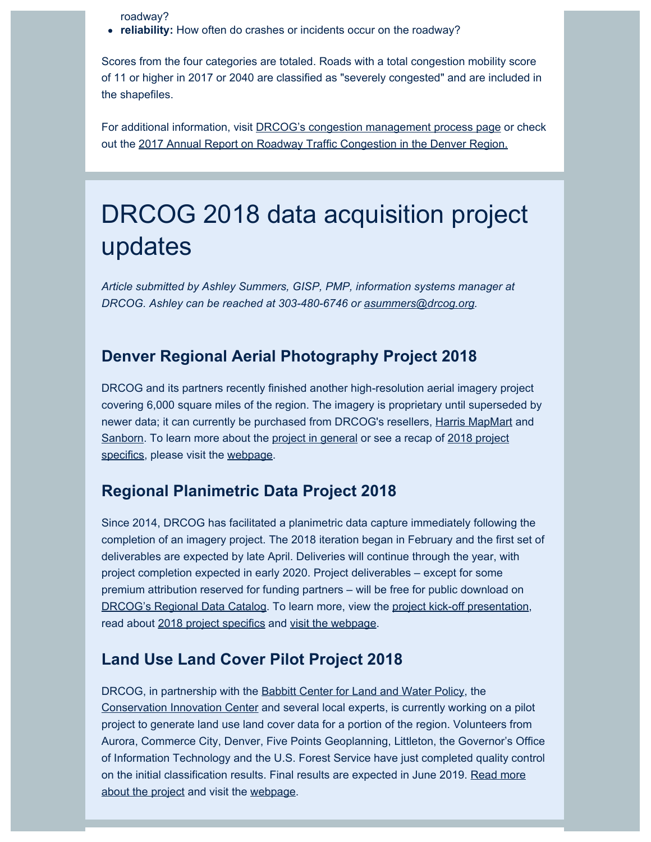roadway?

**reliability:** How often do crashes or incidents occur on the roadway?

Scores from the four categories are totaled. Roads with a total congestion mobility score of 11 or higher in 2017 or 2040 are classified as "severely congested" and are included in the shapefiles.

For additional information, visit [DRCOG's congestion management process page](https://drcog.createsend1.com/t/d-l-pyuujud-l-s/) or check out the [2017 Annual Report on Roadway Traffic Congestion in the Denver Region.](https://drcog.createsend1.com/t/d-l-pyuujud-l-g/)

### DRCOG 2018 data acquisition project updates

*Article submitted by Ashley Summers, GISP, PMP, information systems manager at DRCOG. Ashley can be reached at 303-480-6746 or [asummers@drcog.org](mailto:asummers@drcog.org).*

#### **Denver Regional Aerial Photography Project 2018**

DRCOG and its partners recently finished another high-resolution aerial imagery project covering 6,000 square miles of the region. The imagery is proprietary until superseded by newer data; it can currently be purchased from DRCOG's resellers, [Harris MapMart](https://drcog.createsend1.com/t/d-l-pyuujud-l-w/) and [Sanborn](https://drcog.createsend1.com/t/d-l-pyuujud-l-yd/). To learn more about the [project in general](https://drcog.createsend1.com/t/d-l-pyuujud-l-yh/) or see a recap of [2018 project](https://drcog.createsend1.com/t/d-l-pyuujud-l-yk/) [specifics,](https://drcog.createsend1.com/t/d-l-pyuujud-l-yk/) please visit the [webpage](https://drcog.createsend1.com/t/d-l-pyuujud-l-yu/).

#### **Regional Planimetric Data Project 2018**

Since 2014, DRCOG has facilitated a planimetric data capture immediately following the completion of an imagery project. The 2018 iteration began in February and the first set of deliverables are expected by late April. Deliveries will continue through the year, with project completion expected in early 2020. Project deliverables – except for some premium attribution reserved for funding partners – will be free for public download on [DRCOG's Regional Data Catalog.](https://drcog.createsend1.com/t/d-l-pyuujud-l-jl/) To learn more, view the [project kick-off presentation](https://drcog.createsend1.com/t/d-l-pyuujud-l-jr/), read about [2018 project specifics](https://drcog.createsend1.com/t/d-l-pyuujud-l-jy/) and [visit the webpage](https://drcog.createsend1.com/t/d-l-pyuujud-l-jj/).

#### **Land Use Land Cover Pilot Project 2018**

DRCOG, in partnership with the **Babbitt Center for Land and Water Policy**, the [Conservation Innovation Center](https://drcog.createsend1.com/t/d-l-pyuujud-l-ji/) and several local experts, is currently working on a pilot project to generate land use land cover data for a portion of the region. Volunteers from Aurora, Commerce City, Denver, Five Points Geoplanning, Littleton, the Governor's Office of Information Technology and the U.S. Forest Service have just completed quality control on the initial classification results. Final results are expected in June 2019. [Read more](https://drcog.createsend1.com/t/d-l-pyuujud-l-jd/) [about the project](https://drcog.createsend1.com/t/d-l-pyuujud-l-jd/) and visit the [webpage](https://drcog.createsend1.com/t/d-l-pyuujud-l-jh/).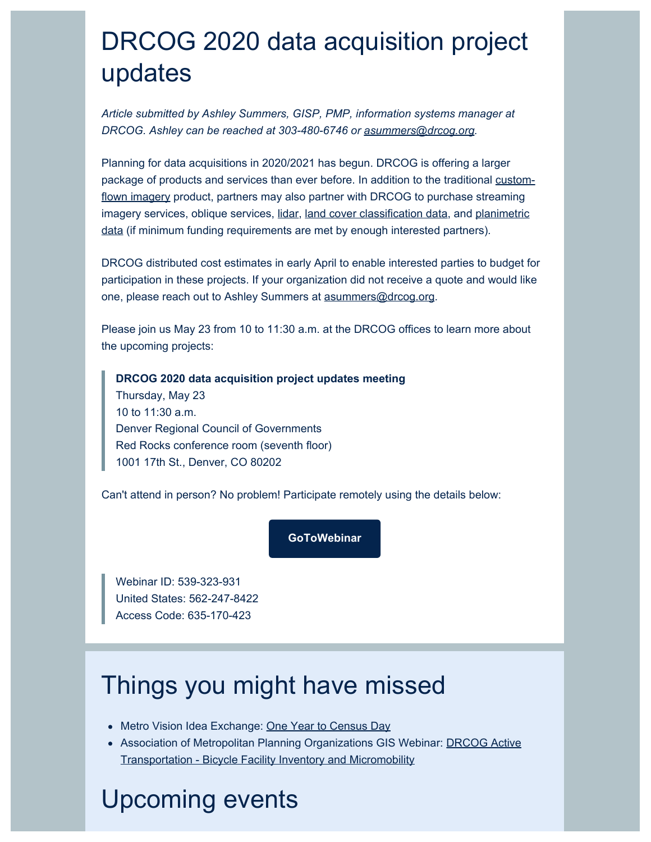# DRCOG 2020 data acquisition project updates

*Article submitted by Ashley Summers, GISP, PMP, information systems manager at DRCOG. Ashley can be reached at 303-480-6746 or [asummers@drcog.org](mailto:asummers@drcog.org).*

Planning for data acquisitions in 2020/2021 has begun. DRCOG is offering a larger package of products and services than ever before. In addition to the traditional [custom](https://drcog.createsend1.com/t/d-l-pyuujud-l-jk/)[flown imagery](https://drcog.createsend1.com/t/d-l-pyuujud-l-jk/) product, partners may also partner with DRCOG to purchase streaming imagery services, oblique services, [lidar](https://drcog.createsend1.com/t/d-l-pyuujud-l-ju/), [land cover classification data](https://drcog.createsend1.com/t/d-l-pyuujud-l-tl/), and [planimetric](https://drcog.createsend1.com/t/d-l-pyuujud-l-tr/) [data](https://drcog.createsend1.com/t/d-l-pyuujud-l-tr/) (if minimum funding requirements are met by enough interested partners)*.*

DRCOG distributed cost estimates in early April to enable interested parties to budget for participation in these projects. If your organization did not receive a quote and would like one, please reach out to Ashley Summers at [asummers@drcog.org](mailto:asummers@drcog.org).

Please join us May 23 from 10 to 11:30 a.m. at the DRCOG offices to learn more about the upcoming projects:

**DRCOG 2020 data acquisition project updates meeting** Thursday, May 23 10 to 11:30 a.m. Denver Regional Council of Governments Red Rocks conference room (seventh floor) 1001 17th St., Denver, CO 80202

Can't attend in person? No problem! Participate remotely using the details below:

#### **[GoToWebinar](https://drcog.createsend1.com/t/d-l-pyuujud-l-ty/)**

Webinar ID: 539-323-931 United States: 562-247-8422 Access Code: 635-170-423

# Things you might have missed

- Metro Vision Idea Exchange: [One Year to Census Day](https://drcog.createsend1.com/t/d-l-pyuujud-l-tj/)
- Association of Metropolitan Planning Organizations GIS Webinar: [DRCOG Active](https://drcog.createsend1.com/t/d-l-pyuujud-l-tt/) [Transportation - Bicycle Facility Inventory and Micromobility](https://drcog.createsend1.com/t/d-l-pyuujud-l-tt/)

# Upcoming events